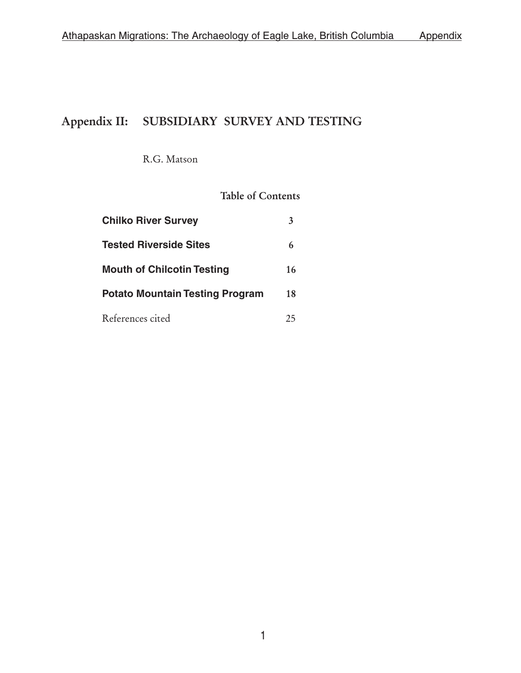# Appendix II: SUBSIDIARY SURVEY AND TESTING

R.G. Matson

## Table of Contents

| <b>Chilko River Survey</b>             | 3  |
|----------------------------------------|----|
| <b>Tested Riverside Sites</b>          | 6  |
| <b>Mouth of Chilcotin Testing</b>      | 16 |
| <b>Potato Mountain Testing Program</b> | 18 |
| References cited                       | 25 |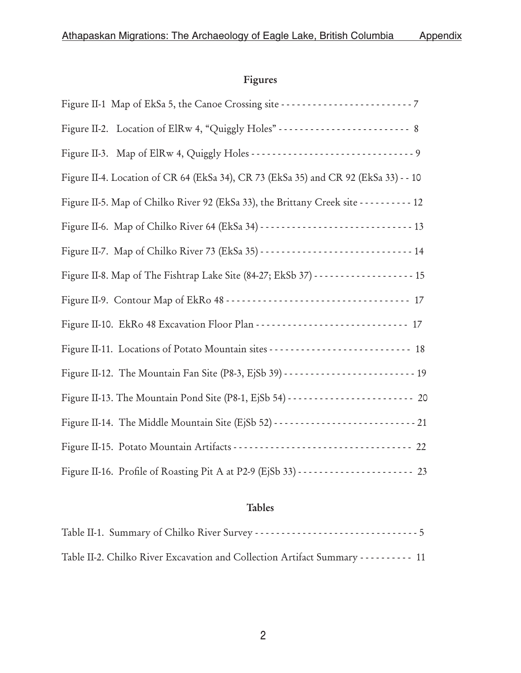## Figures

| Figure II-4. Location of CR 64 (EkSa 34), CR 73 (EkSa 35) and CR 92 (EkSa 33) - - 10               |
|----------------------------------------------------------------------------------------------------|
| Figure II-5. Map of Chilko River 92 (EkSa 33), the Brittany Creek site - - - - - - - - - - 12      |
|                                                                                                    |
|                                                                                                    |
| Figure II-8. Map of The Fishtrap Lake Site (84-27; EkSb 37) - - - - - - - - - - - - - - - - - - 15 |
|                                                                                                    |
|                                                                                                    |
|                                                                                                    |
|                                                                                                    |
|                                                                                                    |
|                                                                                                    |
|                                                                                                    |
|                                                                                                    |

## Tables

| Table II-2. Chilko River Excavation and Collection Artifact Summary - - - - - - - - - - 11 |  |
|--------------------------------------------------------------------------------------------|--|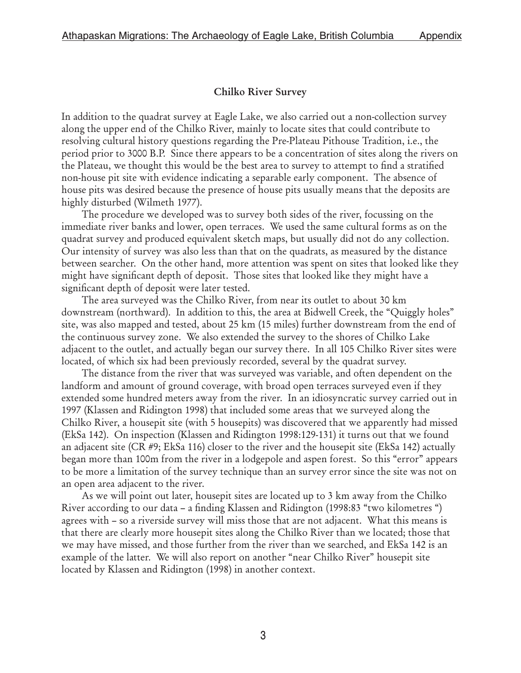#### Chilko River Survey

In addition to the quadrat survey at Eagle Lake, we also carried out a non-collection survey along the upper end of the Chilko River, mainly to locate sites that could contribute to resolving cultural history questions regarding the Pre-Plateau Pithouse Tradition, i.e., the period prior to 3000 B.P. Since there appears to be a concentration of sites along the rivers on the Plateau, we thought this would be the best area to survey to attempt to find a stratified non-house pit site with evidence indicating a separable early component. The absence of house pits was desired because the presence of house pits usually means that the deposits are highly disturbed (Wilmeth 1977).

The procedure we developed was to survey both sides of the river, focussing on the immediate river banks and lower, open terraces. We used the same cultural forms as on the quadrat survey and produced equivalent sketch maps, but usually did not do any collection. Our intensity of survey was also less than that on the quadrats, as measured by the distance between searcher. On the other hand, more attention was spent on sites that looked like they might have significant depth of deposit. Those sites that looked like they might have a significant depth of deposit were later tested.

The area surveyed was the Chilko River, from near its outlet to about 30 km downstream (northward). In addition to this, the area at Bidwell Creek, the "Quiggly holes" site, was also mapped and tested, about 25 km (15 miles) further downstream from the end of the continuous survey zone. We also extended the survey to the shores of Chilko Lake adjacent to the outlet, and actually began our survey there. In all 105 Chilko River sites were located, of which six had been previously recorded, several by the quadrat survey.

The distance from the river that was surveyed was variable, and often dependent on the landform and amount of ground coverage, with broad open terraces surveyed even if they extended some hundred meters away from the river. In an idiosyncratic survey carried out in 1997 (Klassen and Ridington 1998) that included some areas that we surveyed along the Chilko River, a housepit site (with 5 housepits) was discovered that we apparently had missed (EkSa 142). On inspection (Klassen and Ridington 1998:129-131) it turns out that we found an adjacent site (CR #9; EkSa 116) closer to the river and the housepit site (EkSa 142) actually began more than 100m from the river in a lodgepole and aspen forest. So this "error" appears to be more a limitation of the survey technique than an survey error since the site was not on an open area adjacent to the river.

As we will point out later, housepit sites are located up to 3 km away from the Chilko River according to our data – a finding Klassen and Ridington (1998:83 "two kilometres ") agrees with – so a riverside survey will miss those that are not adjacent. What this means is that there are clearly more housepit sites along the Chilko River than we located; those that we may have missed, and those further from the river than we searched, and EkSa 142 is an example of the latter. We will also report on another "near Chilko River" housepit site located by Klassen and Ridington (1998) in another context.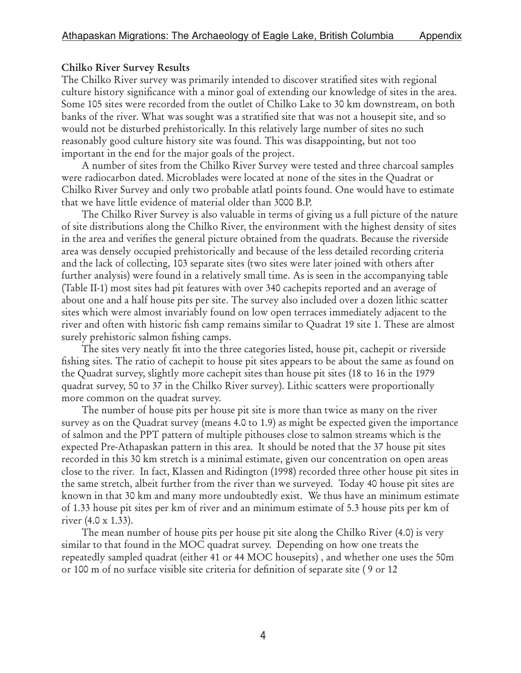### Chilko River Survey Results

The Chilko River survey was primarily intended to discover stratified sites with regional culture history significance with a minor goal of extending our knowledge of sites in the area. Some 105 sites were recorded from the outlet of Chilko Lake to 30 km downstream, on both banks of the river. What was sought was a stratified site that was not a housepit site, and so would not be disturbed prehistorically. In this relatively large number of sites no such reasonably good culture history site was found. This was disappointing, but not too important in the end for the major goals of the project.

A number of sites from the Chilko River Survey were tested and three charcoal samples were radiocarbon dated. Microblades were located at none of the sites in the Quadrat or Chilko River Survey and only two probable atlatl points found. One would have to estimate that we have little evidence of material older than 3000 B.P.

The Chilko River Survey is also valuable in terms of giving us a full picture of the nature of site distributions along the Chilko River, the environment with the highest density of sites in the area and verifies the general picture obtained from the quadrats. Because the riverside area was densely occupied prehistorically and because of the less detailed recording criteria and the lack of collecting, 103 separate sites (two sites were later joined with others after further analysis) were found in a relatively small time. As is seen in the accompanying table (Table II-1) most sites had pit features with over 340 cachepits reported and an average of about one and a half house pits per site. The survey also included over a dozen lithic scatter sites which were almost invariably found on low open terraces immediately adjacent to the river and often with historic fish camp remains similar to Quadrat 19 site 1. These are almost surely prehistoric salmon fishing camps.

The sites very neatly fit into the three categories listed, house pit, cachepit or riverside fishing sites. The ratio of cachepit to house pit sites appears to be about the same as found on the Quadrat survey, slightly more cachepit sites than house pit sites (18 to 16 in the 1979 quadrat survey, 50 to 37 in the Chilko River survey). Lithic scatters were proportionally more common on the quadrat survey.

The number of house pits per house pit site is more than twice as many on the river survey as on the Quadrat survey (means 4.0 to 1.9) as might be expected given the importance of salmon and the PPT pattern of multiple pithouses close to salmon streams which is the expected Pre-Athapaskan pattern in this area. It should be noted that the 37 house pit sites recorded in this 30 km stretch is a minimal estimate, given our concentration on open areas close to the river. In fact, Klassen and Ridington (1998) recorded three other house pit sites in the same stretch, albeit further from the river than we surveyed. Today 40 house pit sites are known in that 30 km and many more undoubtedly exist. We thus have an minimum estimate of 1.33 house pit sites per km of river and an minimum estimate of 5.3 house pits per km of river (4.0 x 1.33).

 The mean number of house pits per house pit site along the Chilko River (4.0) is very similar to that found in the MOC quadrat survey. Depending on how one treats the repeatedly sampled quadrat (either 41 or 44 MOC housepits) , and whether one uses the 50m or 100 m of no surface visible site criteria for definition of separate site ( 9 or 12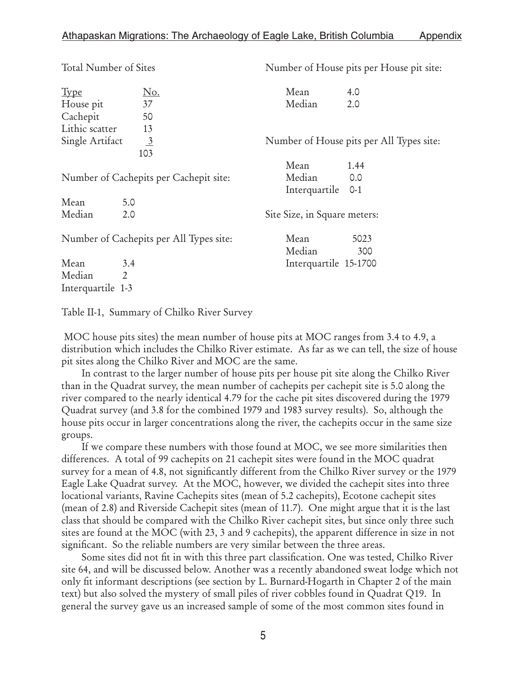| Total Number of Sites                   |                 | Number of House pits per House pit site: |                                          |  |  |  |
|-----------------------------------------|-----------------|------------------------------------------|------------------------------------------|--|--|--|
| <u>Type</u>                             | <u>No.</u>      | Mean                                     | 4.0                                      |  |  |  |
| House pit                               | 37              | Median                                   | 2.0                                      |  |  |  |
| Cachepit                                | 50              |                                          |                                          |  |  |  |
| Lithic scatter                          | 13              |                                          |                                          |  |  |  |
| Single Artifact                         | $\frac{3}{103}$ |                                          | Number of House pits per All Types site: |  |  |  |
|                                         |                 | Mean                                     | 1.44                                     |  |  |  |
| Number of Cachepits per Cachepit site:  |                 | Median                                   | 0.0                                      |  |  |  |
|                                         |                 | Interquartile 0-1                        |                                          |  |  |  |
| Mean                                    | 5.0             |                                          |                                          |  |  |  |
| Median                                  | 2.0             | Site Size, in Square meters:             |                                          |  |  |  |
| Number of Cachepits per All Types site: |                 | Mean                                     | 5023                                     |  |  |  |
|                                         |                 | Median                                   | 300                                      |  |  |  |
| Mean                                    | 3.4             | Interquartile 15-1700                    |                                          |  |  |  |
| Median                                  | $\overline{2}$  |                                          |                                          |  |  |  |
| Interquartile 1-3                       |                 |                                          |                                          |  |  |  |

Table II-1, Summary of Chilko River Survey

 MOC house pits sites) the mean number of house pits at MOC ranges from 3.4 to 4.9, a distribution which includes the Chilko River estimate. As far as we can tell, the size of house pit sites along the Chilko River and MOC are the same.

In contrast to the larger number of house pits per house pit site along the Chilko River than in the Quadrat survey, the mean number of cachepits per cachepit site is 5.0 along the river compared to the nearly identical 4.79 for the cache pit sites discovered during the 1979 Quadrat survey (and 3.8 for the combined 1979 and 1983 survey results). So, although the house pits occur in larger concentrations along the river, the cachepits occur in the same size groups.

If we compare these numbers with those found at MOC, we see more similarities then differences. A total of 99 cachepits on 21 cachepit sites were found in the MOC quadrat survey for a mean of 4.8, not significantly different from the Chilko River survey or the 1979 Eagle Lake Quadrat survey. At the MOC, however, we divided the cachepit sites into three locational variants, Ravine Cachepits sites (mean of 5.2 cachepits), Ecotone cachepit sites (mean of 2.8) and Riverside Cachepit sites (mean of 11.7). One might argue that it is the last class that should be compared with the Chilko River cachepit sites, but since only three such sites are found at the MOC (with 23, 3 and 9 cachepits), the apparent difference in size in not significant. So the reliable numbers are very similar between the three areas.

Some sites did not fit in with this three part classification. One was tested, Chilko River site 64, and will be discussed below. Another was a recently abandoned sweat lodge which not only fit informant descriptions (see section by L. Burnard-Hogarth in Chapter 2 of the main text) but also solved the mystery of small piles of river cobbles found in Quadrat Q19. In general the survey gave us an increased sample of some of the most common sites found in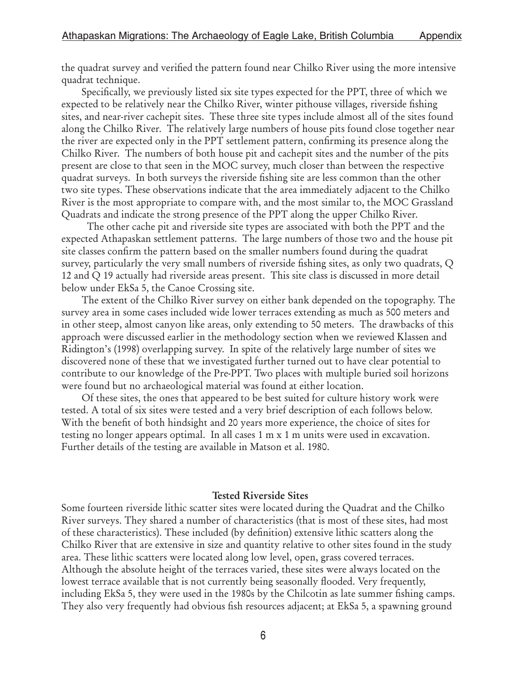the quadrat survey and verified the pattern found near Chilko River using the more intensive quadrat technique.

Specifically, we previously listed six site types expected for the PPT, three of which we expected to be relatively near the Chilko River, winter pithouse villages, riverside fishing sites, and near-river cachepit sites. These three site types include almost all of the sites found along the Chilko River. The relatively large numbers of house pits found close together near the river are expected only in the PPT settlement pattern, confirming its presence along the Chilko River. The numbers of both house pit and cachepit sites and the number of the pits present are close to that seen in the MOC survey, much closer than between the respective quadrat surveys. In both surveys the riverside fishing site are less common than the other two site types. These observations indicate that the area immediately adjacent to the Chilko River is the most appropriate to compare with, and the most similar to, the MOC Grassland Quadrats and indicate the strong presence of the PPT along the upper Chilko River.

 The other cache pit and riverside site types are associated with both the PPT and the expected Athapaskan settlement patterns. The large numbers of those two and the house pit site classes confirm the pattern based on the smaller numbers found during the quadrat survey, particularly the very small numbers of riverside fishing sites, as only two quadrats, Q 12 and Q 19 actually had riverside areas present. This site class is discussed in more detail below under EkSa 5, the Canoe Crossing site.

The extent of the Chilko River survey on either bank depended on the topography. The survey area in some cases included wide lower terraces extending as much as 500 meters and in other steep, almost canyon like areas, only extending to 50 meters. The drawbacks of this approach were discussed earlier in the methodology section when we reviewed Klassen and Ridington's (1998) overlapping survey. In spite of the relatively large number of sites we discovered none of these that we investigated further turned out to have clear potential to contribute to our knowledge of the Pre-PPT. Two places with multiple buried soil horizons were found but no archaeological material was found at either location.

Of these sites, the ones that appeared to be best suited for culture history work were tested. A total of six sites were tested and a very brief description of each follows below. With the benefit of both hindsight and 20 years more experience, the choice of sites for testing no longer appears optimal. In all cases 1 m x 1 m units were used in excavation. Further details of the testing are available in Matson et al. 1980.

#### Tested Riverside Sites

Some fourteen riverside lithic scatter sites were located during the Quadrat and the Chilko River surveys. They shared a number of characteristics (that is most of these sites, had most of these characteristics). These included (by definition) extensive lithic scatters along the Chilko River that are extensive in size and quantity relative to other sites found in the study area. These lithic scatters were located along low level, open, grass covered terraces. Although the absolute height of the terraces varied, these sites were always located on the lowest terrace available that is not currently being seasonally flooded. Very frequently, including EkSa 5, they were used in the 1980s by the Chilcotin as late summer fishing camps. They also very frequently had obvious fish resources adjacent; at EkSa 5, a spawning ground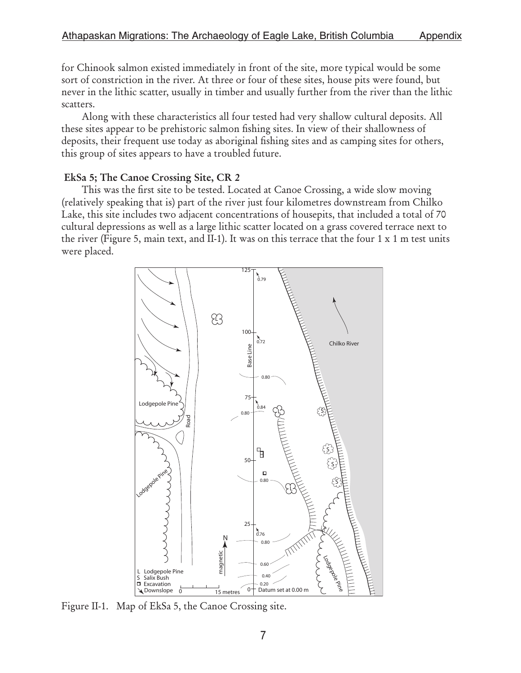for Chinook salmon existed immediately in front of the site, more typical would be some sort of constriction in the river. At three or four of these sites, house pits were found, but never in the lithic scatter, usually in timber and usually further from the river than the lithic scatters.

Along with these characteristics all four tested had very shallow cultural deposits. All these sites appear to be prehistoric salmon fishing sites. In view of their shallowness of deposits, their frequent use today as aboriginal fishing sites and as camping sites for others, this group of sites appears to have a troubled future.

#### EkSa 5; The Canoe Crossing Site, CR 2

This was the first site to be tested. Located at Canoe Crossing, a wide slow moving (relatively speaking that is) part of the river just four kilometres downstream from Chilko Lake, this site includes two adjacent concentrations of housepits, that included a total of 70 cultural depressions as well as a large lithic scatter located on a grass covered terrace next to the river (Figure 5, main text, and II-1). It was on this terrace that the four 1 x 1 m test units were placed.



Figure II-1. Map of EkSa 5, the Canoe Crossing site.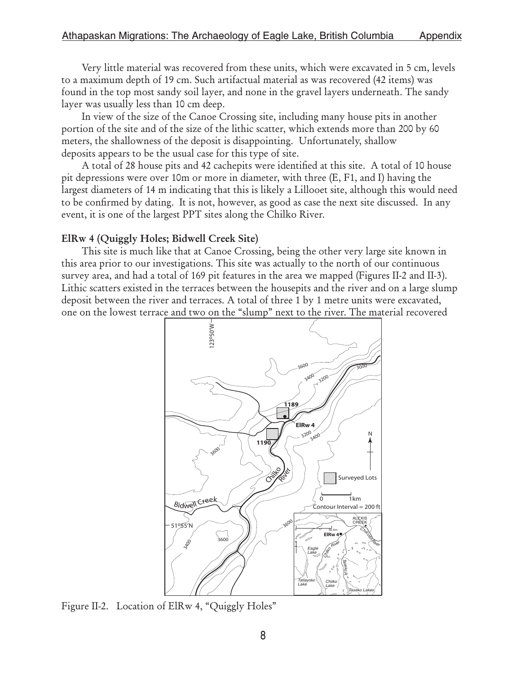Very little material was recovered from these units, which were excavated in 5 cm, levels to a maximum depth of 19 cm. Such artifactual material as was recovered (42 items) was found in the top most sandy soil layer, and none in the gravel layers underneath. The sandy layer was usually less than 10 cm deep.

In view of the size of the Canoe Crossing site, including many house pits in another portion of the site and of the size of the lithic scatter, which extends more than 200 by 60 meters, the shallowness of the deposit is disappointing. Unfortunately, shallow deposits appears to be the usual case for this type of site.

A total of 28 house pits and 42 cachepits were identified at this site. A total of 10 house pit depressions were over 10m or more in diameter, with three (E, F1, and I) having the largest diameters of 14 m indicating that this is likely a Lillooet site, although this would need to be confirmed by dating. It is not, however, as good as case the next site discussed. In any event, it is one of the largest PPT sites along the Chilko River.

#### ElRw 4 (Quiggly Holes; Bidwell Creek Site)

This site is much like that at Canoe Crossing, being the other very large site known in this area prior to our investigations. This site was actually to the north of our continuous survey area, and had a total of 169 pit features in the area we mapped (Figures II-2 and II-3). Lithic scatters existed in the terraces between the housepits and the river and on a large slump deposit between the river and terraces. A total of three 1 by 1 metre units were excavated, one on the lowest terrace and two on the "slump" next to the river. The material recovered



Figure II-2. Location of ElRw 4, "Quiggly Holes"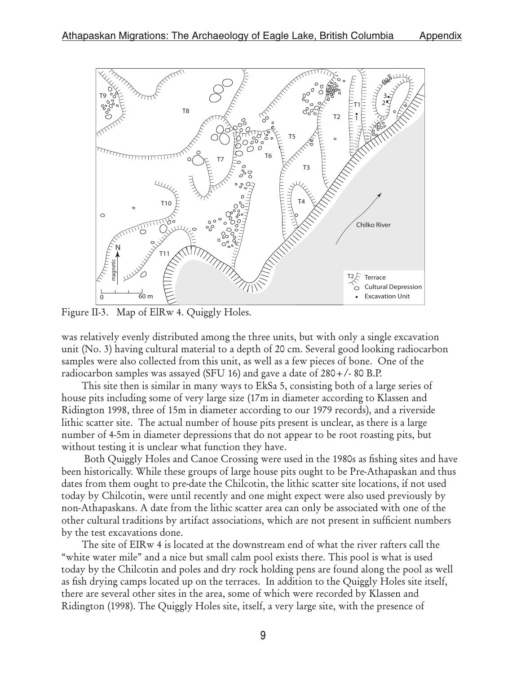

Figure II-3. Map of ElRw 4. Quiggly Holes.

was relatively evenly distributed among the three units, but with only a single excavation unit (No. 3) having cultural material to a depth of 20 cm. Several good looking radiocarbon samples were also collected from this unit, as well as a few pieces of bone. One of the radiocarbon samples was assayed (SFU 16) and gave a date of 280+/- 80 B.P.

This site then is similar in many ways to EkSa 5, consisting both of a large series of house pits including some of very large size (17m in diameter according to Klassen and Ridington 1998, three of 15m in diameter according to our 1979 records), and a riverside lithic scatter site. The actual number of house pits present is unclear, as there is a large number of 4-5m in diameter depressions that do not appear to be root roasting pits, but without testing it is unclear what function they have.

 Both Quiggly Holes and Canoe Crossing were used in the 1980s as fishing sites and have been historically. While these groups of large house pits ought to be Pre-Athapaskan and thus dates from them ought to pre-date the Chilcotin, the lithic scatter site locations, if not used today by Chilcotin, were until recently and one might expect were also used previously by non-Athapaskans. A date from the lithic scatter area can only be associated with one of the other cultural traditions by artifact associations, which are not present in sufficient numbers by the test excavations done.

The site of EIRw 4 is located at the downstream end of what the river rafters call the "white water mile" and a nice but small calm pool exists there. This pool is what is used today by the Chilcotin and poles and dry rock holding pens are found along the pool as well as fish drying camps located up on the terraces. In addition to the Quiggly Holes site itself, there are several other sites in the area, some of which were recorded by Klassen and Ridington (1998). The Quiggly Holes site, itself, a very large site, with the presence of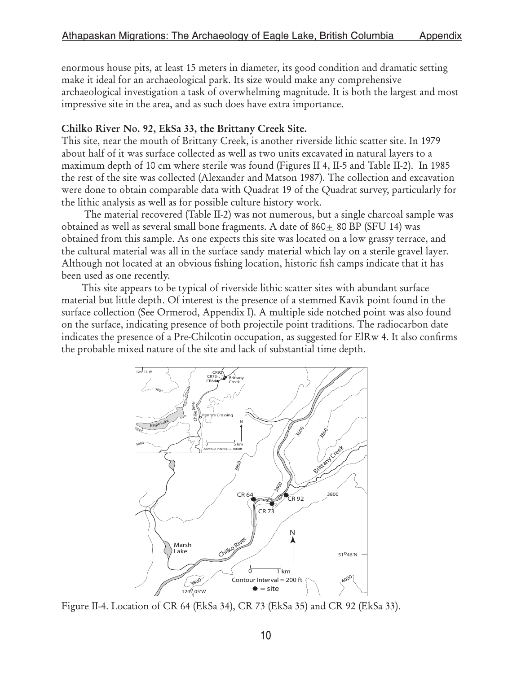enormous house pits, at least 15 meters in diameter, its good condition and dramatic setting make it ideal for an archaeological park. Its size would make any comprehensive archaeological investigation a task of overwhelming magnitude. It is both the largest and most impressive site in the area, and as such does have extra importance.

### Chilko River No. 92, EkSa 33, the Brittany Creek Site.

This site, near the mouth of Brittany Creek, is another riverside lithic scatter site. In 1979 about half of it was surface collected as well as two units excavated in natural layers to a maximum depth of 10 cm where sterile was found (Figures II 4, II-5 and Table II-2). In 1985 the rest of the site was collected (Alexander and Matson 1987). The collection and excavation were done to obtain comparable data with Quadrat 19 of the Quadrat survey, particularly for the lithic analysis as well as for possible culture history work.

 The material recovered (Table II-2) was not numerous, but a single charcoal sample was obtained as well as several small bone fragments. A date of  $860+80$  BP (SFU 14) was obtained from this sample. As one expects this site was located on a low grassy terrace, and the cultural material was all in the surface sandy material which lay on a sterile gravel layer. Although not located at an obvious fishing location, historic fish camps indicate that it has been used as one recently.

This site appears to be typical of riverside lithic scatter sites with abundant surface material but little depth. Of interest is the presence of a stemmed Kavik point found in the surface collection (See Ormerod, Appendix I). A multiple side notched point was also found on the surface, indicating presence of both projectile point traditions. The radiocarbon date indicates the presence of a Pre-Chilcotin occupation, as suggested for ElRw 4. It also confirms the probable mixed nature of the site and lack of substantial time depth.



Figure II-4. Location of CR 64 (EkSa 34), CR 73 (EkSa 35) and CR 92 (EkSa 33).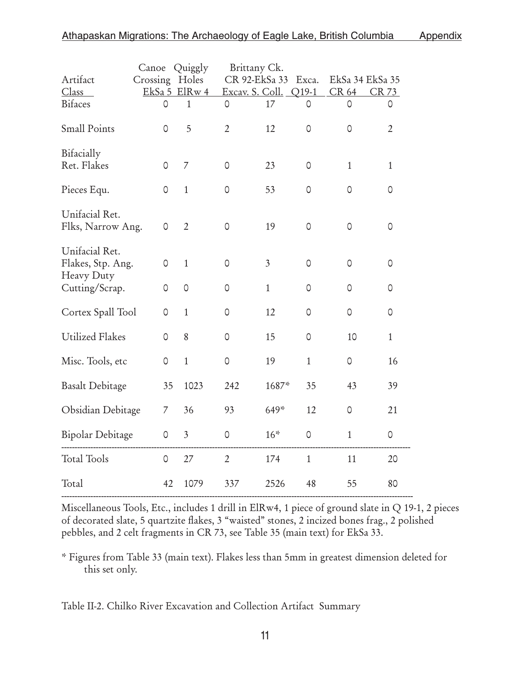|                                                   | Canoe        | Quiggly        |                | Brittany Ck.    |              |                 |                |
|---------------------------------------------------|--------------|----------------|----------------|-----------------|--------------|-----------------|----------------|
| Artifact                                          | Crossing     | Holes          |                | CR 92-EkSa 33   | Exca.        | EkSa 34 EkSa 35 |                |
| Class                                             |              | EkSa 5 ElRw 4  |                | Excav. S. Coll. | Q19-1        | CR 64           | CR 73          |
| <b>Bifaces</b>                                    | 0            | $\mathbf{1}$   | 0              | 17              | 0            | 0               | 0              |
| <b>Small Points</b>                               | $\circ$      | 5              | $\overline{2}$ | 12              | $\mathsf O$  | $\circ$         | $\overline{2}$ |
| Bifacially<br>Ret. Flakes                         |              |                |                |                 |              |                 |                |
|                                                   | $\circ$      | $\overline{7}$ | $\circ$        | 23              | 0            | $\mathbf{1}$    | $\mathbf{1}$   |
| Pieces Equ.                                       | $\mathsf{O}$ | $\mathbf{1}$   | $\mathsf O$    | 53              | 0            | 0               | 0              |
| Unifacial Ret.<br>Flks, Narrow Ang.               | 0            | $\overline{2}$ | $\circ$        | 19              | $\circ$      | $\circ$         | $\circ$        |
| Unifacial Ret.<br>Flakes, Stp. Ang.<br>Heavy Duty | 0            | $\mathbf{1}$   | 0              | $\mathfrak{Z}$  | $\circ$      | $\circ$         | 0              |
| Cutting/Scrap.                                    | 0            | $\circ$        | 0              | $\mathbf{1}$    | 0            | 0               | 0              |
| Cortex Spall Tool                                 | 0            | $\mathbf{1}$   | $\circ$        | 12              | $\circ$      | 0               | $\circ$        |
| <b>Utilized Flakes</b>                            | 0            | 8              | 0              | 15              | 0            | 10              | $\mathbf{1}$   |
| Misc. Tools, etc                                  | $\circ$      | $\mathbf{1}$   | $\circ$        | 19              | $\mathbf{1}$ | 0               | 16             |
| <b>Basalt Debitage</b>                            | 35           | 1023           | 242            | 1687*           | 35           | 43              | 39             |
| Obsidian Debitage                                 | 7            | 36             | 93             | 649*            | 12           | 0               | 21             |
| <b>Bipolar Debitage</b>                           | $\mathsf O$  | $\mathfrak{Z}$ | $\mathsf O$    | $16*$           | 0            | $\,1\,$         | $\circ$        |
| <b>Total Tools</b>                                | $\mathsf O$  | 27             | $\overline{2}$ | 174             | $\mathbf{1}$ | 11              | 20             |
| Total                                             | 42           | 1079           | 337            | 2526            | 48           | 55              | 80             |
|                                                   |              |                |                |                 |              |                 |                |

Miscellaneous Tools, Etc., includes 1 drill in ElRw4, 1 piece of ground slate in Q 19-1, 2 pieces of decorated slate, 5 quartzite flakes, 3 "waisted" stones, 2 incized bones frag., 2 polished pebbles, and 2 celt fragments in CR 73, see Table 35 (main text) for EkSa 33.

\* Figures from Table 33 (main text). Flakes less than 5mm in greatest dimension deleted for this set only.

Table II-2. Chilko River Excavation and Collection Artifact Summary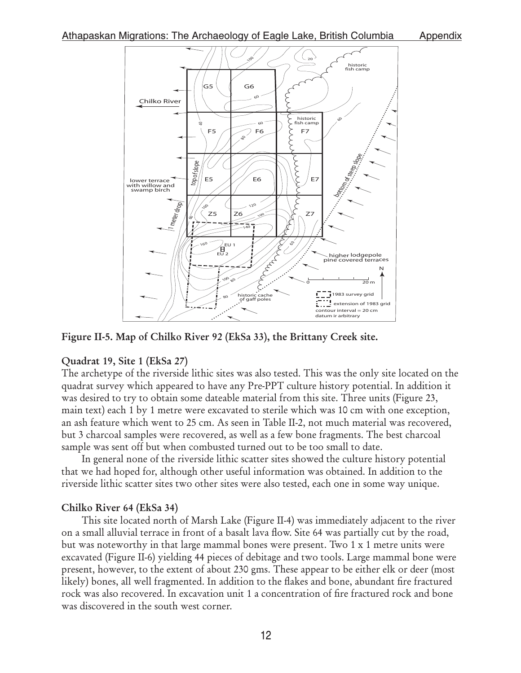

Figure II-5. Map of Chilko River 92 (EkSa 33), the Brittany Creek site.

## Quadrat 19, Site 1 (EkSa 27)

The archetype of the riverside lithic sites was also tested. This was the only site located on the quadrat survey which appeared to have any Pre-PPT culture history potential. In addition it was desired to try to obtain some dateable material from this site. Three units (Figure 23, main text) each 1 by 1 metre were excavated to sterile which was 10 cm with one exception, an ash feature which went to 25 cm. As seen in Table II-2, not much material was recovered, but 3 charcoal samples were recovered, as well as a few bone fragments. The best charcoal sample was sent off but when combusted turned out to be too small to date.

In general none of the riverside lithic scatter sites showed the culture history potential that we had hoped for, although other useful information was obtained. In addition to the riverside lithic scatter sites two other sites were also tested, each one in some way unique.

## Chilko River 64 (EkSa 34)

This site located north of Marsh Lake (Figure II-4) was immediately adjacent to the river on a small alluvial terrace in front of a basalt lava flow. Site 64 was partially cut by the road, but was noteworthy in that large mammal bones were present. Two 1 x 1 metre units were excavated (Figure II-6) yielding 44 pieces of debitage and two tools. Large mammal bone were present, however, to the extent of about 230 gms. These appear to be either elk or deer (most likely) bones, all well fragmented. In addition to the flakes and bone, abundant fire fractured rock was also recovered. In excavation unit 1 a concentration of fire fractured rock and bone was discovered in the south west corner.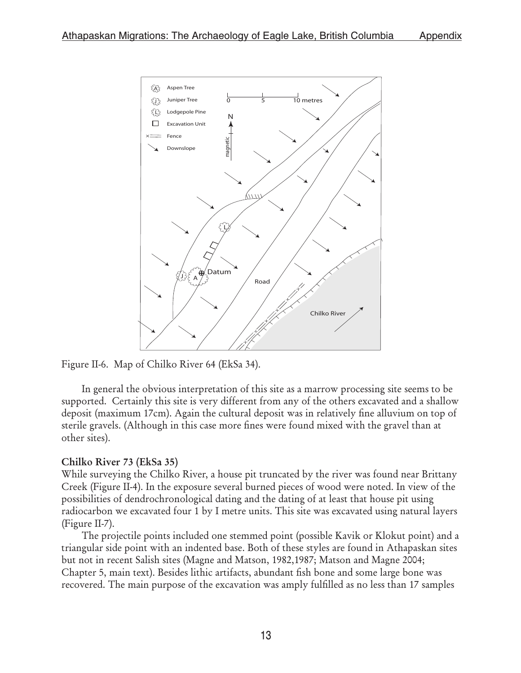

Figure II-6. Map of Chilko River 64 (EkSa 34).

In general the obvious interpretation of this site as a marrow processing site seems to be supported. Certainly this site is very different from any of the others excavated and a shallow deposit (maximum 17cm). Again the cultural deposit was in relatively fine alluvium on top of sterile gravels. (Although in this case more fines were found mixed with the gravel than at other sites).

## Chilko River 73 (EkSa 35)

While surveying the Chilko River, a house pit truncated by the river was found near Brittany Creek (Figure II-4). In the exposure several burned pieces of wood were noted. In view of the possibilities of dendrochronological dating and the dating of at least that house pit using radiocarbon we excavated four 1 by I metre units. This site was excavated using natural layers (Figure II-7).

The projectile points included one stemmed point (possible Kavik or Klokut point) and a triangular side point with an indented base. Both of these styles are found in Athapaskan sites but not in recent Salish sites (Magne and Matson, 1982,1987; Matson and Magne 2004; Chapter 5, main text). Besides lithic artifacts, abundant fish bone and some large bone was recovered. The main purpose of the excavation was amply fulfilled as no less than 17 samples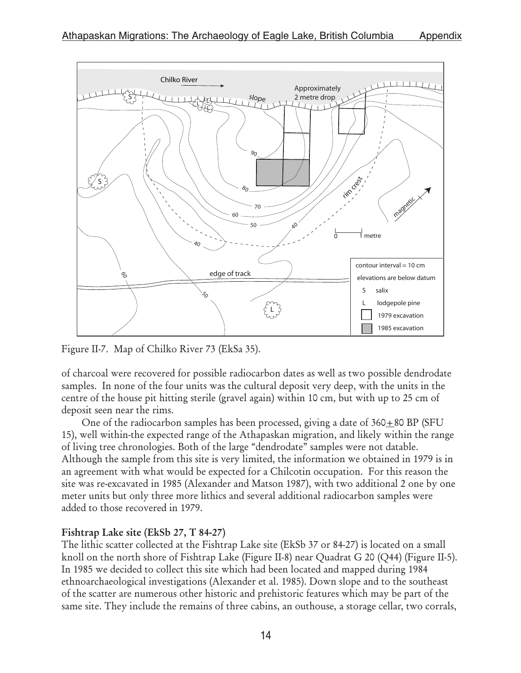

Figure II-7. Map of Chilko River 73 (EkSa 35).

of charcoal were recovered for possible radiocarbon dates as well as two possible dendrodate samples. In none of the four units was the cultural deposit very deep, with the units in the centre of the house pit hitting sterile (gravel again) within 10 cm, but with up to 25 cm of deposit seen near the rims.

One of the radiocarbon samples has been processed, giving a date of  $360+80$  BP (SFU 15), well within-the expected range of the Athapaskan migration, and likely within the range of living tree chronologies. Both of the large "dendrodate" samples were not datable. Although the sample from this site is very limited, the information we obtained in 1979 is in an agreement with what would be expected for a Chilcotin occupation. For this reason the site was re-excavated in 1985 (Alexander and Matson 1987), with two additional 2 one by one meter units but only three more lithics and several additional radiocarbon samples were added to those recovered in 1979.

## Fishtrap Lake site (EkSb 27, T 84-27)

The lithic scatter collected at the Fishtrap Lake site (EkSb 37 or 84-27) is located on a small knoll on the north shore of Fishtrap Lake (Figure II-8) near Quadrat G 20 (Q44) (Figure II-5). In 1985 we decided to collect this site which had been located and mapped during 1984 ethnoarchaeological investigations (Alexander et al. 1985). Down slope and to the southeast of the scatter are numerous other historic and prehistoric features which may be part of the same site. They include the remains of three cabins, an outhouse, a storage cellar, two corrals,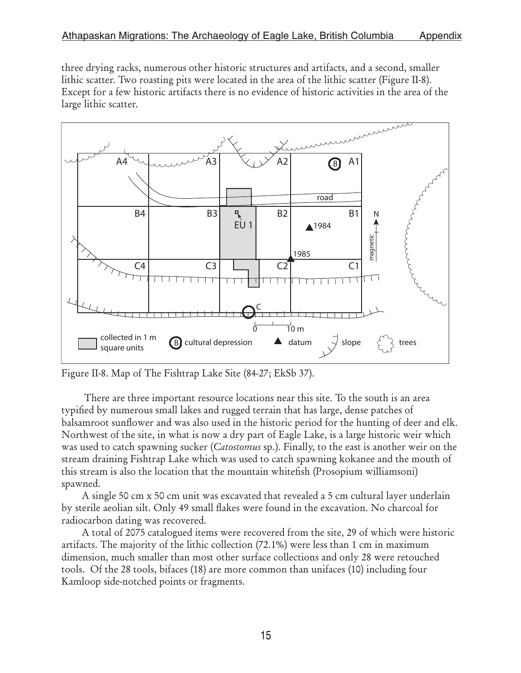three drying racks, numerous other historic structures and artifacts, and a second, smaller lithic scatter. Two roasting pits were located in the area of the lithic scatter (Figure II-8). Except for a few historic artifacts there is no evidence of historic activities in the area of the large lithic scatter.



Figure II-8. Map of The Fishtrap Lake Site (84-27; EkSb 37).

 There are three important resource locations near this site. To the south is an area typified by numerous small lakes and rugged terrain that has large, dense patches of balsamroot sunflower and was also used in the historic period for the hunting of deer and elk. Northwest of the site, in what is now a dry part of Eagle Lake, is a large historic weir which was used to catch spawning sucker (*Catostomus* sp.). Finally, to the east is another weir on the stream draining Fishtrap Lake which was used to catch spawning kokanee and the mouth of this stream is also the location that the mountain whitefish (Prosopium williamsoni) spawned.

A single 50 cm x 50 cm unit was excavated that revealed a 5 cm cultural layer underlain by sterile aeolian silt. Only 49 small flakes were found in the excavation. No charcoal for radiocarbon dating was recovered.

A total of 2075 catalogued items were recovered from the site, 29 of which were historic artifacts. The majority of the lithic collection (72.1%) were less than 1 cm in maximum dimension, much smaller than most other surface collections and only 28 were retouched tools. Of the 28 tools, bifaces (18) are more common than unifaces (10) including four Kamloop side-notched points or fragments.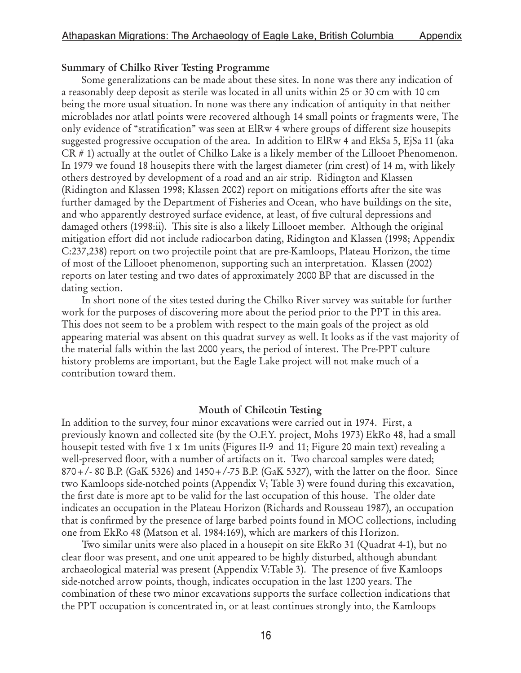#### Summary of Chilko River Testing Programme

Some generalizations can be made about these sites. In none was there any indication of a reasonably deep deposit as sterile was located in all units within 25 or 30 cm with 10 cm being the more usual situation. In none was there any indication of antiquity in that neither microblades nor atlatl points were recovered although 14 small points or fragments were, The only evidence of "stratification" was seen at ElRw 4 where groups of different size housepits suggested progressive occupation of the area. In addition to ElRw 4 and EkSa 5, EjSa 11 (aka CR # 1) actually at the outlet of Chilko Lake is a likely member of the Lillooet Phenomenon. In 1979 we found 18 housepits there with the largest diameter (rim crest) of 14 m, with likely others destroyed by development of a road and an air strip. Ridington and Klassen (Ridington and Klassen 1998; Klassen 2002) report on mitigations efforts after the site was further damaged by the Department of Fisheries and Ocean, who have buildings on the site, and who apparently destroyed surface evidence, at least, of five cultural depressions and damaged others (1998:ii). This site is also a likely Lillooet member. Although the original mitigation effort did not include radiocarbon dating, Ridington and Klassen (1998; Appendix C:237,238) report on two projectile point that are pre-Kamloops, Plateau Horizon, the time of most of the Lillooet phenomenon, supporting such an interpretation. Klassen (2002) reports on later testing and two dates of approximately 2000 BP that are discussed in the dating section.

In short none of the sites tested during the Chilko River survey was suitable for further work for the purposes of discovering more about the period prior to the PPT in this area. This does not seem to be a problem with respect to the main goals of the project as old appearing material was absent on this quadrat survey as well. It looks as if the vast majority of the material falls within the last 2000 years, the period of interest. The Pre-PPT culture history problems are important, but the Eagle Lake project will not make much of a contribution toward them.

#### Mouth of Chilcotin Testing

In addition to the survey, four minor excavations were carried out in 1974. First, a previously known and collected site (by the O.F.Y. project, Mohs 1973) EkRo 48, had a small housepit tested with five 1 x 1m units (Figures II-9 and 11; Figure 20 main text) revealing a well-preserved floor, with a number of artifacts on it. Two charcoal samples were dated; 870+/- 80 B.P. (GaK 5326) and 1450+/-75 B.P. (GaK 5327), with the latter on the floor. Since two Kamloops side-notched points (Appendix V; Table 3) were found during this excavation, the first date is more apt to be valid for the last occupation of this house. The older date indicates an occupation in the Plateau Horizon (Richards and Rousseau 1987), an occupation that is confirmed by the presence of large barbed points found in MOC collections, including one from EkRo 48 (Matson et al. 1984:169), which are markers of this Horizon.

Two similar units were also placed in a housepit on site EkRo 31 (Quadrat 4-1), but no clear floor was present, and one unit appeared to be highly disturbed, although abundant archaeological material was present (Appendix V:Table 3). The presence of five Kamloops side-notched arrow points, though, indicates occupation in the last 1200 years. The combination of these two minor excavations supports the surface collection indications that the PPT occupation is concentrated in, or at least continues strongly into, the Kamloops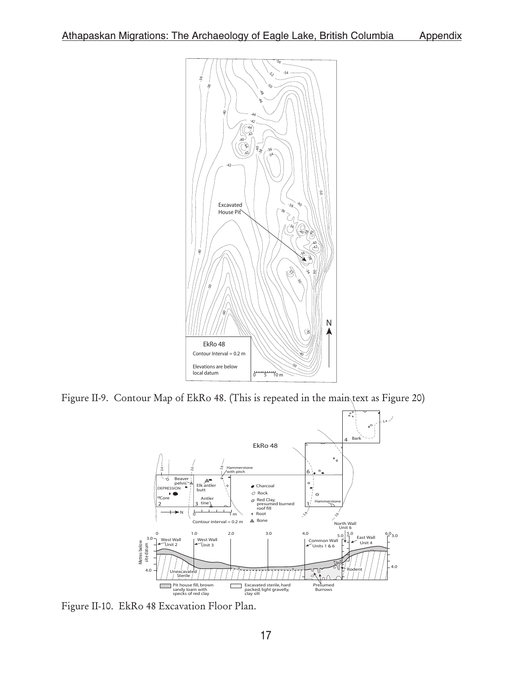

Figure II-9. Contour Map of EkRo 48. (This is repeated in the main text as Figure 20)



Figure II-10. EkRo 48 Excavation Floor Plan.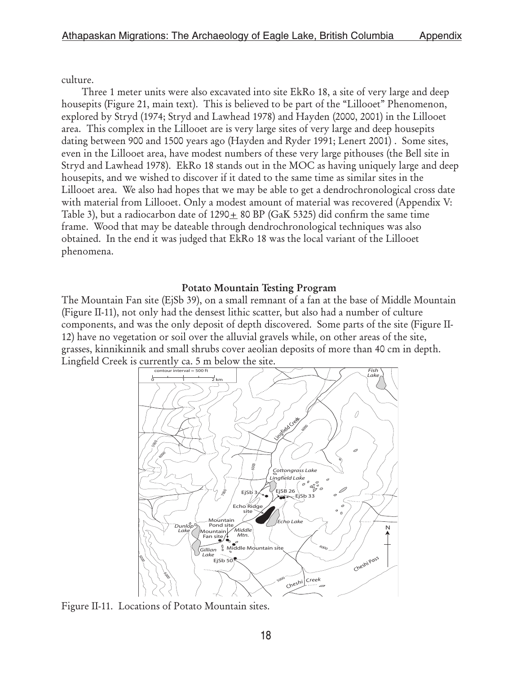culture.

Three 1 meter units were also excavated into site EkRo 18, a site of very large and deep housepits (Figure 21, main text). This is believed to be part of the "Lillooet" Phenomenon, explored by Stryd (1974; Stryd and Lawhead 1978) and Hayden (2000, 2001) in the Lillooet area. This complex in the Lillooet are is very large sites of very large and deep housepits dating between 900 and 1500 years ago (Hayden and Ryder 1991; Lenert 2001) . Some sites, even in the Lillooet area, have modest numbers of these very large pithouses (the Bell site in Stryd and Lawhead 1978). EkRo 18 stands out in the MOC as having uniquely large and deep housepits, and we wished to discover if it dated to the same time as similar sites in the Lillooet area. We also had hopes that we may be able to get a dendrochronological cross date with material from Lillooet. Only a modest amount of material was recovered (Appendix V: Table 3), but a radiocarbon date of  $1290+80$  BP (GaK 5325) did confirm the same time frame. Wood that may be dateable through dendrochronological techniques was also obtained. In the end it was judged that EkRo 18 was the local variant of the Lillooet phenomena.

#### Potato Mountain Testing Program

The Mountain Fan site (EjSb 39), on a small remnant of a fan at the base of Middle Mountain (Figure II-11), not only had the densest lithic scatter, but also had a number of culture components, and was the only deposit of depth discovered. Some parts of the site (Figure II-12) have no vegetation or soil over the alluvial gravels while, on other areas of the site, grasses, kinnikinnik and small shrubs cover aeolian deposits of more than 40 cm in depth. Lingfield Creek is currently ca. 5 m below the site.



Figure II-11. Locations of Potato Mountain sites.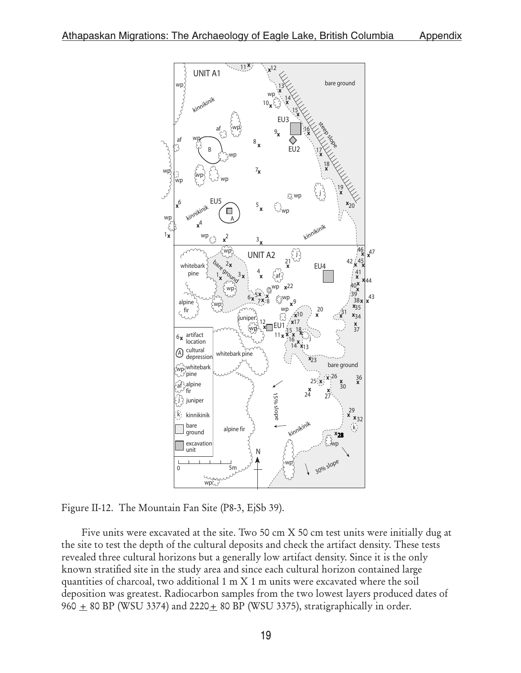

Figure II-12. The Mountain Fan Site (P8-3, EjSb 39).

Five units were excavated at the site. Two 50 cm X 50 cm test units were initially dug at the site to test the depth of the cultural deposits and check the artifact density. These tests revealed three cultural horizons but a generally low artifact density. Since it is the only known stratified site in the study area and since each cultural horizon contained large quantities of charcoal, two additional 1 m X 1 m units were excavated where the soil deposition was greatest. Radiocarbon samples from the two lowest layers produced dates of Figure II-12. The Mountain Fan Site (P8-3, EjSb 39).<br>
Figure II-12. The Mountain Fan Site (P8-3, EjSb 39).<br>
Figure II-12. The Mountain Fan Site (P8-3, EjSb 39).<br>
Figure II-12. The Mountain Fan Site (P8-3, EjSb 39).<br>
Five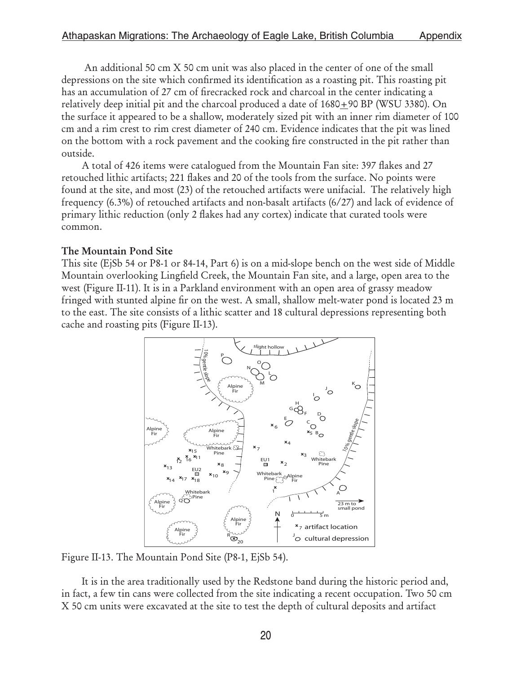An additional 50 cm X 50 cm unit was also placed in the center of one of the small depressions on the site which confirmed its identification as a roasting pit. This roasting pit has an accumulation of 27 cm of firecracked rock and charcoal in the center indicating a relatively deep initial pit and the charcoal produced a date of  $1680+90$  BP (WSU 3380). On the surface it appeared to be a shallow, moderately sized pit with an inner rim diameter of 100 cm and a rim crest to rim crest diameter of 240 cm. Evidence indicates that the pit was lined on the bottom with a rock pavement and the cooking fire constructed in the pit rather than outside.

A total of 426 items were catalogued from the Mountain Fan site: 397 flakes and 27 retouched lithic artifacts; 221 flakes and 20 of the tools from the surface. No points were found at the site, and most (23) of the retouched artifacts were unifacial. The relatively high frequency (6.3%) of retouched artifacts and non-basalt artifacts (6/27) and lack of evidence of primary lithic reduction (only 2 flakes had any cortex) indicate that curated tools were common.

### The Mountain Pond Site

This site (EjSb 54 or P8-1 or 84-14, Part 6) is on a mid-slope bench on the west side of Middle Mountain overlooking Lingfield Creek, the Mountain Fan site, and a large, open area to the west (Figure II-11). It is in a Parkland environment with an open area of grassy meadow fringed with stunted alpine fir on the west. A small, shallow melt-water pond is located 23 m to the east. The site consists of a lithic scatter and 18 cultural depressions representing both cache and roasting pits (Figure II-13).



Figure II-13. The Mountain Pond Site (P8-1, EjSb 54).

It is in the area traditionally used by the Redstone band during the historic period and, in fact, a few tin cans were collected from the site indicating a recent occupation. Two 50 cm X 50 cm units were excavated at the site to test the depth of cultural deposits and artifact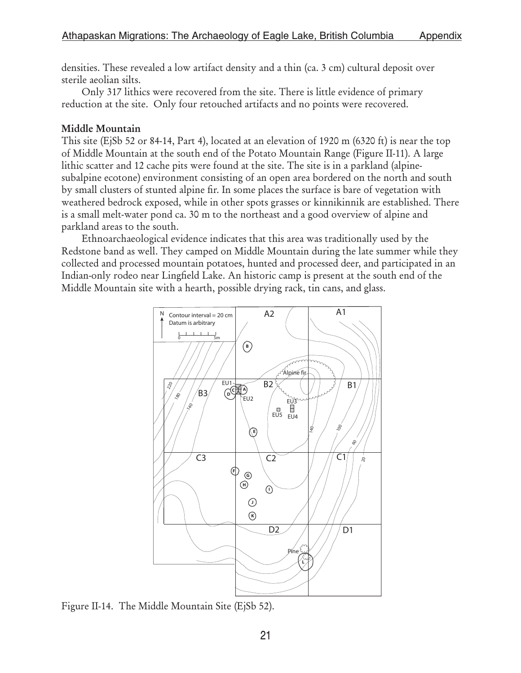densities. These revealed a low artifact density and a thin (ca. 3 cm) cultural deposit over sterile aeolian silts.

Only 317 lithics were recovered from the site. There is little evidence of primary reduction at the site. Only four retouched artifacts and no points were recovered.

### Middle Mountain

This site (EjSb 52 or 84-14, Part 4), located at an elevation of 1920 m (6320 ft) is near the top of Middle Mountain at the south end of the Potato Mountain Range (Figure II-11). A large lithic scatter and 12 cache pits were found at the site. The site is in a parkland (alpinesubalpine ecotone) environment consisting of an open area bordered on the north and south by small clusters of stunted alpine fir. In some places the surface is bare of vegetation with weathered bedrock exposed, while in other spots grasses or kinnikinnik are established. There is a small melt-water pond ca. 30 m to the northeast and a good overview of alpine and parkland areas to the south.

Ethnoarchaeological evidence indicates that this area was traditionally used by the Redstone band as well. They camped on Middle Mountain during the late summer while they collected and processed mountain potatoes, hunted and processed deer, and participated in an Indian-only rodeo near Lingfield Lake. An historic camp is present at the south end of the Middle Mountain site with a hearth, possible drying rack, tin cans, and glass.



Figure II-14. The Middle Mountain Site (EjSb 52).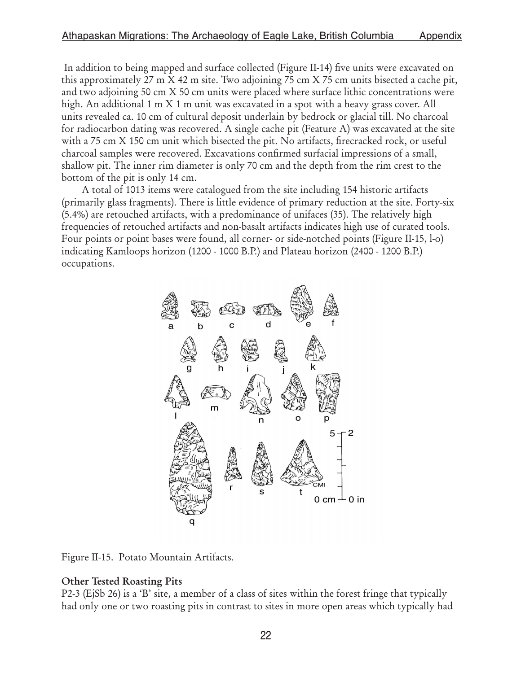In addition to being mapped and surface collected (Figure II-14) five units were excavated on this approximately 27 m X 42 m site. Two adjoining 75 cm X 75 cm units bisected a cache pit, and two adjoining 50 cm X 50 cm units were placed where surface lithic concentrations were high. An additional 1 m X 1 m unit was excavated in a spot with a heavy grass cover. All units revealed ca. 10 cm of cultural deposit underlain by bedrock or glacial till. No charcoal for radiocarbon dating was recovered. A single cache pit (Feature A) was excavated at the site with a 75 cm X 150 cm unit which bisected the pit. No artifacts, firecracked rock, or useful charcoal samples were recovered. Excavations confirmed surfacial impressions of a small, shallow pit. The inner rim diameter is only 70 cm and the depth from the rim crest to the bottom of the pit is only 14 cm.

A total of 1013 items were catalogued from the site including 154 historic artifacts (primarily glass fragments). There is little evidence of primary reduction at the site. Forty-six (5.4%) are retouched artifacts, with a predominance of unifaces (35). The relatively high frequencies of retouched artifacts and non-basalt artifacts indicates high use of curated tools. Four points or point bases were found, all corner- or side-notched points (Figure II-15, l-o) indicating Kamloops horizon (1200 - 1000 B.P.) and Plateau horizon (2400 - 1200 B.P.) occupations.



Figure II-15. Potato Mountain Artifacts.

## Other Tested Roasting Pits

P2-3 (EjSb 26) is a 'B' site, a member of a class of sites within the forest fringe that typically had only one or two roasting pits in contrast to sites in more open areas which typically had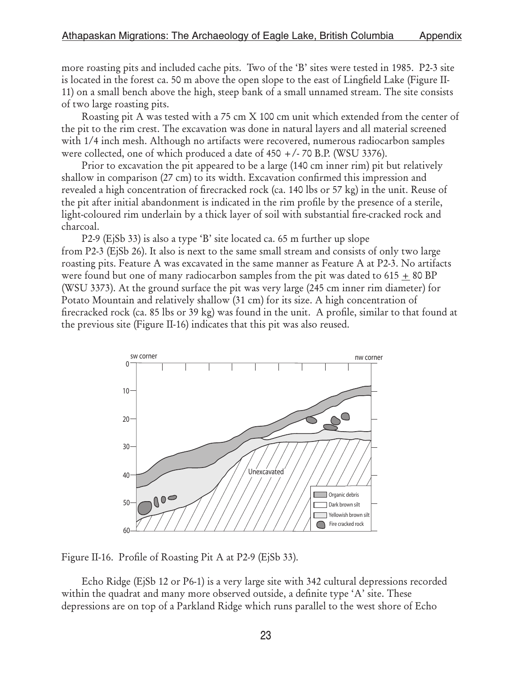more roasting pits and included cache pits. Two of the 'B' sites were tested in 1985. P2-3 site is located in the forest ca. 50 m above the open slope to the east of Lingfield Lake (Figure II-11) on a small bench above the high, steep bank of a small unnamed stream. The site consists of two large roasting pits.

Roasting pit A was tested with a 75 cm X 100 cm unit which extended from the center of the pit to the rim crest. The excavation was done in natural layers and all material screened with 1/4 inch mesh. Although no artifacts were recovered, numerous radiocarbon samples were collected, one of which produced a date of 450 +/- 70 B.P. (WSU 3376).

Prior to excavation the pit appeared to be a large (140 cm inner rim) pit but relatively shallow in comparison (27 cm) to its width. Excavation confirmed this impression and revealed a high concentration of firecracked rock (ca. 140 lbs or 57 kg) in the unit. Reuse of the pit after initial abandonment is indicated in the rim profile by the presence of a sterile, light-coloured rim underlain by a thick layer of soil with substantial fire-cracked rock and charcoal.

P2-9 (EjSb 33) is also a type 'B' site located ca. 65 m further up slope from P2-3 (EjSb 26). It also is next to the same small stream and consists of only two large roasting pits. Feature A was excavated in the same manner as Feature A at P2-3. No artifacts were found but one of many radiocarbon samples from the pit was dated to 615  $\pm$  80 BP (WSU 3373). At the ground surface the pit was very large (245 cm inner rim diameter) for Potato Mountain and relatively shallow (31 cm) for its size. A high concentration of firecracked rock (ca. 85 lbs or 39 kg) was found in the unit. A profile, similar to that found at the previous site (Figure II-16) indicates that this pit was also reused.



Figure II-16. Profile of Roasting Pit A at P2-9 (EjSb 33).

 Echo Ridge (EjSb 12 or P6-1) is a very large site with 342 cultural depressions recorded within the quadrat and many more observed outside, a definite type 'A' site. These depressions are on top of a Parkland Ridge which runs parallel to the west shore of Echo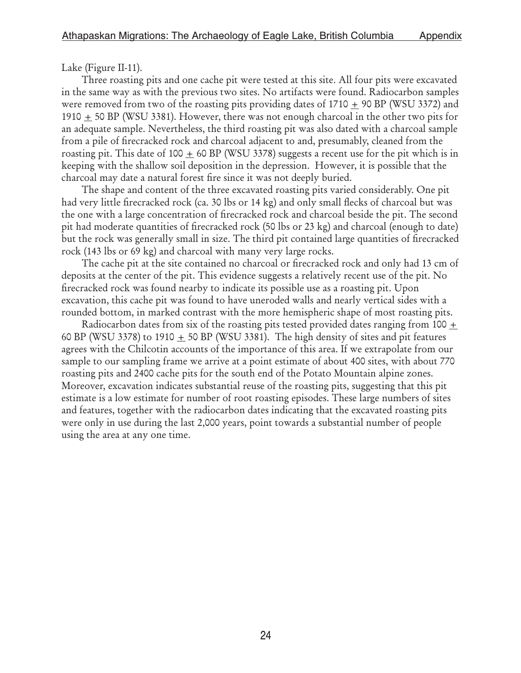Lake (Figure II-11).

Three roasting pits and one cache pit were tested at this site. All four pits were excavated in the same way as with the previous two sites. No artifacts were found. Radiocarbon samples were removed from two of the roasting pits providing dates of 1710  $\pm$  90 BP (WSU 3372) and 1910  $\pm$  50 BP (WSU 3381). However, there was not enough charcoal in the other two pits for an adequate sample. Nevertheless, the third roasting pit was also dated with a charcoal sample from a pile of firecracked rock and charcoal adjacent to and, presumably, cleaned from the roasting pit. This date of 100  $\pm$  60 BP (WSU 3378) suggests a recent use for the pit which is in keeping with the shallow soil deposition in the depression. However, it is possible that the charcoal may date a natural forest fire since it was not deeply buried.

The shape and content of the three excavated roasting pits varied considerably. One pit had very little firecracked rock (ca. 30 lbs or 14 kg) and only small flecks of charcoal but was the one with a large concentration of firecracked rock and charcoal beside the pit. The second pit had moderate quantities of firecracked rock (50 lbs or 23 kg) and charcoal (enough to date) but the rock was generally small in size. The third pit contained large quantities of firecracked rock (143 lbs or 69 kg) and charcoal with many very large rocks.

The cache pit at the site contained no charcoal or firecracked rock and only had 13 cm of deposits at the center of the pit. This evidence suggests a relatively recent use of the pit. No firecracked rock was found nearby to indicate its possible use as a roasting pit. Upon excavation, this cache pit was found to have uneroded walls and nearly vertical sides with a rounded bottom, in marked contrast with the more hemispheric shape of most roasting pits.

Radiocarbon dates from six of the roasting pits tested provided dates ranging from 100  $\pm$ 60 BP (WSU 3378) to 1910  $\pm$  50 BP (WSU 3381). The high density of sites and pit features agrees with the Chilcotin accounts of the importance of this area. If we extrapolate from our sample to our sampling frame we arrive at a point estimate of about 400 sites, with about 770 roasting pits and 2400 cache pits for the south end of the Potato Mountain alpine zones. Moreover, excavation indicates substantial reuse of the roasting pits, suggesting that this pit estimate is a low estimate for number of root roasting episodes. These large numbers of sites and features, together with the radiocarbon dates indicating that the excavated roasting pits were only in use during the last 2,000 years, point towards a substantial number of people using the area at any one time.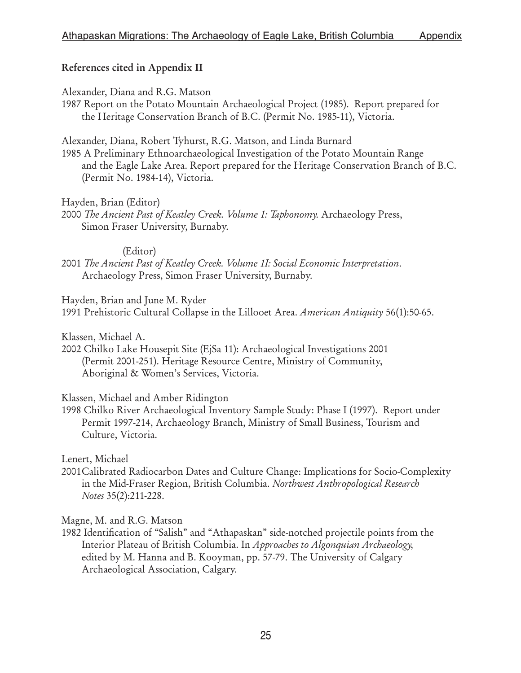## References cited in Appendix II

Alexander, Diana and R.G. Matson

1987 Report on the Potato Mountain Archaeological Project (1985). Report prepared for the Heritage Conservation Branch of B.C. (Permit No. 1985-11), Victoria.

Alexander, Diana, Robert Tyhurst, R.G. Matson, and Linda Burnard

1985 A Preliminary Ethnoarchaeological Investigation of the Potato Mountain Range and the Eagle Lake Area. Report prepared for the Heritage Conservation Branch of B.C. (Permit No. 1984-14), Victoria.

Hayden, Brian (Editor)

2000 The Ancient Past of Keatley Creek. Volume 1: Taphonomy. Archaeology Press, Simon Fraser University, Burnaby.

### (Editor)

2001 The Ancient Past of Keatley Creek. Volume 1I: Social Economic Interpretation. Archaeology Press, Simon Fraser University, Burnaby.

Hayden, Brian and June M. Ryder

1991 Prehistoric Cultural Collapse in the Lillooet Area. American Antiquity 56(1):50-65.

Klassen, Michael A.

2002 Chilko Lake Housepit Site (EjSa 11): Archaeological Investigations 2001 (Permit 2001-251). Heritage Resource Centre, Ministry of Community, Aboriginal & Women's Services, Victoria.

Klassen, Michael and Amber Ridington

1998 Chilko River Archaeological Inventory Sample Study: Phase I (1997). Report under Permit 1997-214, Archaeology Branch, Ministry of Small Business, Tourism and Culture, Victoria.

Lenert, Michael

2001Calibrated Radiocarbon Dates and Culture Change: Implications for Socio-Complexity in the Mid-Fraser Region, British Columbia. Northwest Anthropological Research Notes 35(2):211-228.

Magne, M. and R.G. Matson

1982 Identification of "Salish" and "Athapaskan" side-notched projectile points from the Interior Plateau of British Columbia. In Approaches to Algonquian Archaeology, edited by M. Hanna and B. Kooyman, pp. 57-79. The University of Calgary Archaeological Association, Calgary.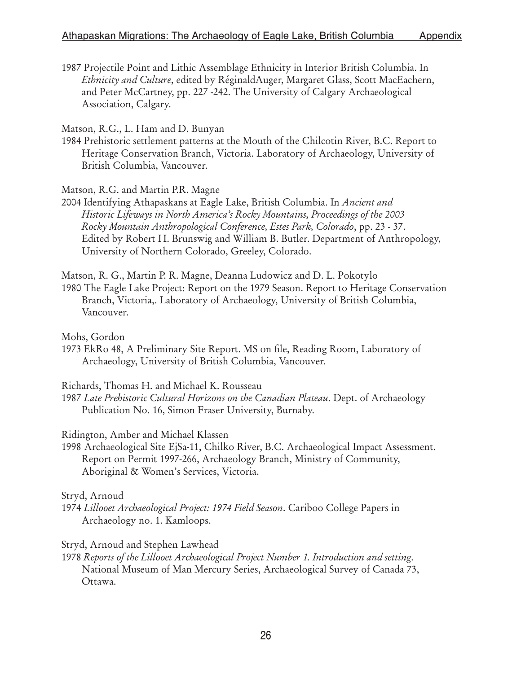1987 Projectile Point and Lithic Assemblage Ethnicity in Interior British Columbia. In Ethnicity and Culture, edited by RéginaldAuger, Margaret Glass, Scott MacEachern, and Peter McCartney, pp. 227 -242. The University of Calgary Archaeological Association, Calgary.

Matson, R.G., L. Ham and D. Bunyan

1984 Prehistoric settlement patterns at the Mouth of the Chilcotin River, B.C. Report to Heritage Conservation Branch, Victoria. Laboratory of Archaeology, University of British Columbia, Vancouver.

Matson, R.G. and Martin P.R. Magne

2004 Identifying Athapaskans at Eagle Lake, British Columbia. In Ancient and Historic Lifeways in North America's Rocky Mountains, Proceedings of the 2003 Rocky Mountain Anthropological Conference, Estes Park, Colorado, pp. 23 - 37. Edited by Robert H. Brunswig and William B. Butler. Department of Anthropology, University of Northern Colorado, Greeley, Colorado.

Matson, R. G., Martin P. R. Magne, Deanna Ludowicz and D. L. Pokotylo

1980 The Eagle Lake Project: Report on the 1979 Season. Report to Heritage Conservation Branch, Victoria,. Laboratory of Archaeology, University of British Columbia, Vancouver.

Mohs, Gordon

1973 EkRo 48, A Preliminary Site Report. MS on file, Reading Room, Laboratory of Archaeology, University of British Columbia, Vancouver.

Richards, Thomas H. and Michael K. Rousseau

1987 Late Prehistoric Cultural Horizons on the Canadian Plateau. Dept. of Archaeology Publication No. 16, Simon Fraser University, Burnaby.

Ridington, Amber and Michael Klassen

1998 Archaeological Site EjSa-11, Chilko River, B.C. Archaeological Impact Assessment. Report on Permit 1997-266, Archaeology Branch, Ministry of Community, Aboriginal & Women's Services, Victoria.

#### Stryd, Arnoud

1974 Lillooet Archaeological Project: 1974 Field Season. Cariboo College Papers in Archaeology no. 1. Kamloops.

Stryd, Arnoud and Stephen Lawhead

1978 Reports of the Lillooet Archaeological Project Number 1. Introduction and setting. National Museum of Man Mercury Series, Archaeological Survey of Canada 73, Ottawa.